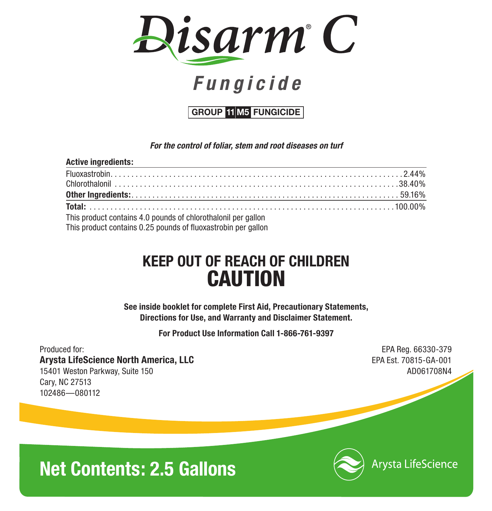

# *F ungicide*

**GROUP 11 M5 FUNGICIDE**

*For the control of foliar, stem and root diseases on turf*

| <b>Active ingredients:</b><br><u> 1989 - Johann Stoff, amerikansk politiker (* 1908)</u> |  |
|------------------------------------------------------------------------------------------|--|
|                                                                                          |  |
|                                                                                          |  |
|                                                                                          |  |
|                                                                                          |  |
| This product contains 4.0 pounds of chlorothalonil per gallon                            |  |

This product contains 0.25 pounds of fluoxastrobin per gallon

## **KEEP OUT OF REACH OF CHILDREN CAUTION**

**See inside booklet for complete First Aid, Precautionary Statements, Directions for Use, and Warranty and Disclaimer Statement.**

**For Product Use Information Call 1-866-761-9397**

Produced for: EPA Reg. 66330-379 **Arysta LifeScience North America, LLC** And the State of the State EPA Est. 70815-GA-001 15401 Weston Parkway, Suite 150 AD061708N4 Cary, NC 27513 102486—080112

# **Net Contents: 2.5 Gallons**



Arysta LifeScience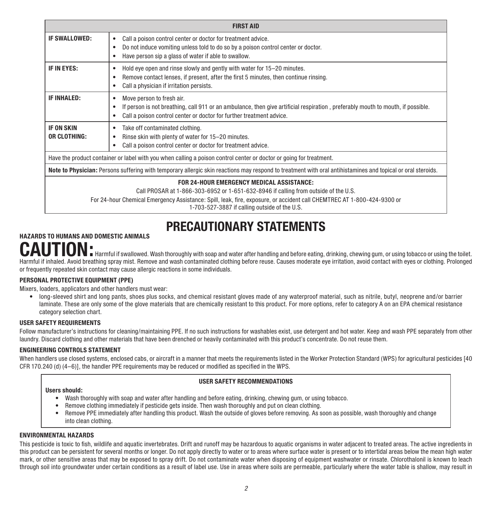| IF SWALLOWED:<br>٠                          | Call a poison control center or doctor for treatment advice.                                                                                                                                                                                               |
|---------------------------------------------|------------------------------------------------------------------------------------------------------------------------------------------------------------------------------------------------------------------------------------------------------------|
|                                             | Do not induce vomiting unless told to do so by a poison control center or doctor.<br>Have person sip a glass of water if able to swallow.                                                                                                                  |
| IF IN EYES:<br>٠<br>٠                       | Hold eye open and rinse slowly and gently with water for 15-20 minutes.<br>Remove contact lenses, if present, after the first 5 minutes, then continue rinsing.<br>Call a physician if irritation persists.                                                |
| <b>IF INHALED:</b><br>٠                     | Move person to fresh air.<br>If person is not breathing, call 911 or an ambulance, then give artificial respiration, preferably mouth to mouth, if possible.<br>Call a poison control center or doctor for further treatment advice.                       |
| <b>IF ON SKIN</b><br>٠<br>OR CLOTHING:<br>٠ | Take off contaminated clothing.<br>Rinse skin with plenty of water for 15-20 minutes.<br>Call a poison control center or doctor for treatment advice.                                                                                                      |
|                                             | Have the product container or label with you when calling a poison control center or doctor or going for treatment.                                                                                                                                        |
|                                             | Note to Physician: Persons suffering with temporary allergic skin reactions may respond to treatment with oral antihistamines and topical or oral steroids.                                                                                                |
|                                             | FOR 24-HOUR EMERGENCY MEDICAL ASSISTANCE:<br>Call PROSAR at 1-866-303-6952 or 1-651-632-8946 if calling from outside of the U.S.<br>For 24-hour Chemical Emergency Assistance: Spill, leak, fire, exposure, or accident call CHEMTREC AT 1-800-424-9300 or |

# **PRECAUTIONARY STATEMENTS HAZARDS TO HUMANS AND DOMESTIC ANIMALS**

**CAUTION:** Harmful if swallowed. Wash thoroughly with soap and water after handling and before eating, drinking, chewing gum, or using tobacco or using the toilet. Harmful if inhaled. Avoid breathing spray mist. Remove and wash contaminated clothing before reuse. Causes moderate eye irritation, avoid contact with eyes or clothing. Prolonged or frequently repeated skin contact may cause allergic reactions in some individuals.

#### **PERSONAL PROTECTIVE EQUIPMENT (PPE)**

Mixers, loaders, applicators and other handlers must wear:

• long-sleeved shirt and long pants, shoes plus socks, and chemical resistant gloves made of any waterproof material, such as nitrile, butyl, neoprene and/or barrier laminate. These are only some of the glove materials that are chemically resistant to this product. For more options, refer to category A on an EPA chemical resistance category selection chart.

#### **USER SAFETY REQUIREMENTS**

Follow manufacturer's instructions for cleaning/maintaining PPE. If no such instructions for washables exist, use detergent and hot water. Keep and wash PPE separately from other laundry. Discard clothing and other materials that have been drenched or heavily contaminated with this product's concentrate. Do not reuse them.

#### **ENGINEERING CONTROLS STATEMENT**

When handlers use closed systems, enclosed cabs, or aircraft in a manner that meets the requirements listed in the Worker Protection Standard (WPS) for agricultural pesticides [40 CFR 170.240 (d) (4–6)], the handler PPE requirements may be reduced or modified as specified in the WPS.

#### **USER SAFETY RECOMMENDATIONS**

#### **Users should:**

- • Wash thoroughly with soap and water after handling and before eating, drinking, chewing gum, or using tobacco.
- Remove clothing immediately if pesticide gets inside. Then wash thoroughly and put on clean clothing.
- • Remove PPE immediately after handling this product. Wash the outside of gloves before removing. As soon as possible, wash thoroughly and change into clean clothing.

#### **ENVIRONMENTAL HAZARDS**

This pesticide is toxic to fish, wildlife and aquatic invertebrates. Drift and runoff may be hazardous to aquatic organisms in water adjacent to treated areas. The active ingredients in this product can be persistent for several months or longer. Do not apply directly to water or to areas where surface water is present or to intertidal areas below the mean high water mark, or other sensitive areas that may be exposed to spray drift. Do not contaminate water when disposing of equipment washwater or rinsate. Chlorothalonil is known to leach through soil into groundwater under certain conditions as a result of label use. Use in areas where soils are permeable, particularly where the water table is shallow, may result in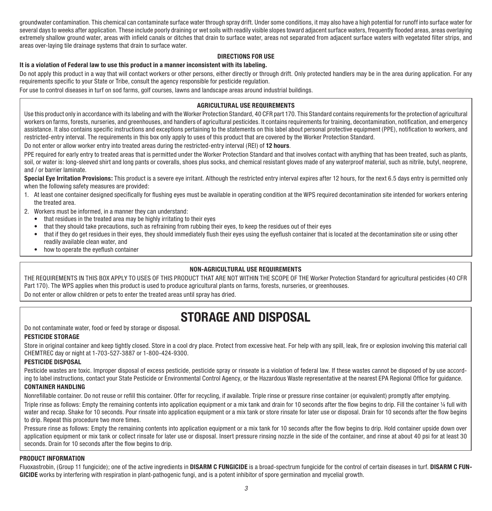groundwater contamination. This chemical can contaminate surface water through spray drift. Under some conditions, it may also have a high potential for runoff into surface water for several days to weeks after application. These include poorly draining or wet soils with readily visible slopes toward adjacent surface waters, frequently flooded areas, areas overlaying extremely shallow ground water, areas with infield canals or ditches that drain to surface water, areas not separated from adjacent surface waters with vegetated filter strips, and areas over-laying tile drainage systems that drain to surface water.

#### **DIRECTIONS FOR USE**

#### **It is a violation of Federal law to use this product in a manner inconsistent with its labeling.**

Do not apply this product in a way that will contact workers or other persons, either directly or through drift. Only protected handlers may be in the area during application. For any requirements specific to your State or Tribe, consult the agency responsible for pesticide regulation.

For use to control diseases in turf on sod farms, golf courses, lawns and landscape areas around industrial buildings.

#### **AGRICULTURAL USE REQUIREMENTS**

Use this product only in accordance with its labeling and with the Worker Protection Standard, 40 CFR part 170. This Standard contains requirements for the protection of agricultural workers on farms, forests, nurseries, and greenhouses, and handlers of agricultural pesticides. It contains requirements for training, decontamination, notification, and emergency assistance. It also contains specific instructions and exceptions pertaining to the statements on this label about personal protective equipment (PPE), notification to workers, and restricted-entry interval. The requirements in this box only apply to uses of this product that are covered by the Worker Protection Standard.

Do not enter or allow worker entry into treated areas during the restricted-entry interval (REI) of **12 hours**.

PPE required for early entry to treated areas that is permitted under the Worker Protection Standard and that involves contact with anything that has been treated, such as plants, soil, or water is: long-sleeved shirt and long pants or coveralls, shoes plus socks, and chemical resistant gloves made of any waterproof material, such as nitrile, butyl, neoprene, and / or barrier laminate.

Special Eye Irritation Provisions: This product is a severe eve irritant. Although the restricted entry interval expires after 12 hours, for the next 6.5 days entry is permitted only when the following safety measures are provided:

- 1. At least one container designed specifically for flushing eyes must be available in operating condition at the WPS required decontamination site intended for workers entering the treated area.
- 2. Workers must be informed, in a manner they can understand:
	- that residues in the treated area may be highly irritating to their eyes
	- that they should take precautions, such as refraining from rubbing their eyes, to keep the residues out of their eyes
	- that if they do get residues in their eyes, they should immediately flush their eyes using the eyeflush container that is located at the decontamination site or using other readily available clean water, and
	- how to operate the eyeflush container

#### **NON-AGRICULTURAL USE REQUIREMENTS**

THE REQUIREMENTS IN THIS BOX APPLY TO USES OF THIS PRODUCT THAT ARE NOT WITHIN THE SCOPE OF THE Worker Protection Standard for agricultural pesticides (40 CFR Part 170). The WPS applies when this product is used to produce agricultural plants on farms, forests, nurseries, or greenhouses. Do not enter or allow children or pets to enter the treated areas until spray has dried.

### **STORAGE AND DISPOSAL**

Do not contaminate water, food or feed by storage or disposal.

#### **PESTICIDE STORAGE**

Store in original container and keep tightly closed. Store in a cool dry place. Protect from excessive heat. For help with any spill, leak, fire or explosion involving this material call CHEMTREC day or night at 1-703-527-3887 or 1-800-424-9300.

#### **PESTICIDE DISPOSAL**

Pesticide wastes are toxic. Improper disposal of excess pesticide, pesticide spray or rinseate is a violation of federal law. If these wastes cannot be disposed of by use according to label instructions, contact your State Pesticide or Environmental Control Agency, or the Hazardous Waste representative at the nearest EPA Regional Office for guidance. **CONTAINER HANDLING**

Nonrefillable container. Do not reuse or refill this container. Offer for recycling, if available. Triple rinse or pressure rinse container (or equivalent) promptly after emptying.

Triple rinse as follows: Empty the remaining contents into application equipment or a mix tank and drain for 10 seconds after the flow begins to drip. Fill the container ¼ full with water and recap. Shake for 10 seconds. Pour rinsate into application equipment or a mix tank or store rinsate for later use or disposal. Drain for 10 seconds after the flow begins to drip. Repeat this procedure two more times.

Pressure rinse as follows: Empty the remaining contents into application equipment or a mix tank for 10 seconds after the flow begins to drip. Hold container upside down over application equipment or mix tank or collect rinsate for later use or disposal. Insert pressure rinsing nozzle in the side of the container, and rinse at about 40 psi for at least 30 seconds. Drain for 10 seconds after the flow begins to drip.

#### **PRODUCT INFORMATION**

Fluoxastrobin, (Group 11 fungicide); one of the active ingredients in **DISARM C FUNGICIDE** is a broad-spectrum fungicide for the control of certain diseases in turf. **DISARM C FUN-GICIDE** works by interfering with respiration in plant-pathogenic fungi, and is a potent inhibitor of spore germination and mycelial growth.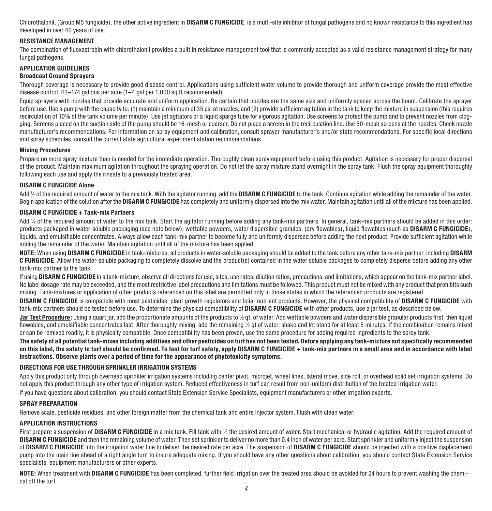Chlorothalonil, (Group M5 fungicide), the other active ingredient in **DISARM C FUNGICIDE**, is a multi-site inhibitor of fungal pathogens and no known resistance to this ingredient has developed in over 40 years of use.

#### **RESISTANCE MANAGEMENT**

The combination of fluoxastrobin with chlorothalonil provides a built in resistance management tool that is commonly accepted as a valid resistance management strategy for many fungal pathogens.

#### **APPLICATION GUIDELINES**

#### **Broadcast Ground Sprayers**

Thorough coverage is necessary to provide good disease control. Applications using sufficient water volume to provide thorough and uniform coverage provide the most effective disease control, 43–174 gallons per acre (1–4 gal per 1,000 sq ft recommended).

Equip sprayers with nozzles that provide accurate and uniform application. Be certain that nozzles are the same size and uniformly spaced across the boom. Calibrate the sprayer before use. Use a pump with the capacity to: (1) maintain a minimum of 35 psi at nozzles, and (2) provide sufficient agitation in the tank to keep the mixture in suspension (this requires recirculation of 10% of the tank volume per minute). Use iet agitators or a liquid sparge tube for vigorous agitation. Use screens to protect the pump and to prevent nozzles from clogging. Screens placed on the suction side of the pump should be 16-mesh or coarser. Do not place a screen in the recirculation line. Use 50-mesh screens at the nozzles. Check nozzle manufacturer's recommendations. For information on spray equipment and calibration, consult sprayer manufacturer's and/or state recommendations. For specific local directions and spray schedules, consult the current state agricultural experiment station recommendations.

#### **Mixing Procedures**

Prepare no more spray mixture than is needed for the immediate operation. Thoroughly clean spray equipment before using this product. Agitation is necessary for proper dispersal of the product. Maintain maximum agitation throughout the spraying operation. Do not let the spray mixture stand overnight in the spray tank. Flush the spray equipment thoroughly following each use and apply the rinsate to a previously treated area.

#### **DISARM C FUNGICIDE Alone**

Add 1 ⁄2 of the required amount of water to the mix tank. With the agitator running, add the **DISARM C FUNGICIDE** to the tank. Continue agitation while adding the remainder of the water. Begin application of the solution after the **DISARM C FUNGICIDE** has completely and uniformly dispersed into the mix water. Maintain agitation until all of the mixture has been applied.

#### **DISARM C FUNGICIDE + Tank-mix Partners**

Add ½ of the required amount of water to the mix tank. Start the agitator running before adding any tank-mix partners. In general, tank-mix partners should be added in this order: products packaged in water-soluble packaging (see note below), wettable powders, water dispersible granules, (dry flowables), liquid flowables (such as **DISARM C FUNGICIDE**), liquids, and emulsifiable concentrates. Always allow each tank-mix partner to become fully and uniformly dispersed before adding the next product. Provide sufficient agitation while adding the remainder of the water. Maintain agitation until all of the mixture has been applied.

**NOTE:** When using **DISARM C FUNGICIDE** in tank-mixtures, all products in water-soluble packaging should be added to the tank before any other tank-mix partner, including **DISARM C FUNGICIDE**. Allow the water-soluble packaging to completely dissolve and the product(s) contained in the water soluble packages to completely disperse before adding any other tank-mix partner to the tank.

If using **DISARM C FUNGICIDE** in a tank-mixture, observe all directions for use, sites, use rates, dilution ratios, precautions, and limitations, which appear on the tank-mix partner label. No label dosage rate may be exceeded, and the most restrictive label precautions and limitations must be followed. This product must not be mixed with any product that prohibits such mixing. Tank-mixtures or application of other products referenced on this label are permitted only in those states in which the referenced products are registered.

**DISARM C FUNGICIDE** is compatible with most pesticides, plant growth regulators and foliar nutrient products. However, the physical compatibility of **DISARM C FUNGICIDE** with tank-mix partners should be tested before use. To determine the physical compatibility of **DISARM C FUNGICIDE** with other products, use a jar test, as described below.

**Jar Test Procedure:** Using a quart jar, add the proportionate amounts of the products to ½ qt. of water. Add wettable powders and water dispersible granular products first, then liquid flowables, and emulsifiable concentrates last. After thoroughly mixing, add the remaining ½ qt of water, shake and let stand for at least 5 minutes. If the combination remains mixed or can be remixed readily, it is physically compatible. Once compatibility has been proven, use the same procedure for adding required ingredients to the spray tank.

**The safety of all potential tank-mixes including additives and other pesticides on turf has not been tested. Before applying any tank-mixture not specifically recommended on this label, the safety to turf should be confirmed. To test for turf safety, apply DISARM C FUNGICIDE + tank-mix partners in a small area and in accordance with label instructions. Observe plants over a period of time for the appearance of phytotoxicity symptoms.**

#### **DIRECTIONS FOR USE THROUGH SPRINKLER IRRIGATION SYSTEMS**

Apply this product only through overhead sprinkler irrigation systems including center pivot, microjet, wheel lines, lateral move, side roll, or overhead solid set irrigation systems. Do not apply this product through any other type of irrigation system. Reduced effectiveness in turf can result from non-uniform distribution of the treated irrigation water. If you have questions about calibration, you should contact State Extension Service Specialists, equipment manufacturers or other irrigation experts.

#### **SPRAY PREPARATION**

Remove scale, pesticide residues, and other foreign matter from the chemical tank and entire injector system. Flush with clean water.

#### **APPLICATION INSTRUCTIONS**

First prepare a suspension of **DISARM C FUNGICIDE** in a mix tank. Fill tank with ½ the desired amount of water. Start mechanical or hydraulic agitation. Add the required amount of **DISARM C FUNGICIDE** and then the remaining volume of water. Then set sprinkler to deliver no more than 0.4 inch of water per acre. Start sprinkler and uniformly inject the suspension of **DISARM C FUNGICIDE** into the irrigation water line to deliver the desired rate per acre. The suspension of **DISARM C FUNGICIDE** should be injected with a positive displacement pump into the main line ahead of a right angle turn to insure adequate mixing. If you should have any other questions about calibration, you should contact State Extension Service specialists, equipment manufacturers or other experts.

**NOTE:** When treatment with **DISARM C FUNGICIDE** has been completed, further field irrigation over the treated area should be avoided for 24 hours to prevent washing the chemical off the turf.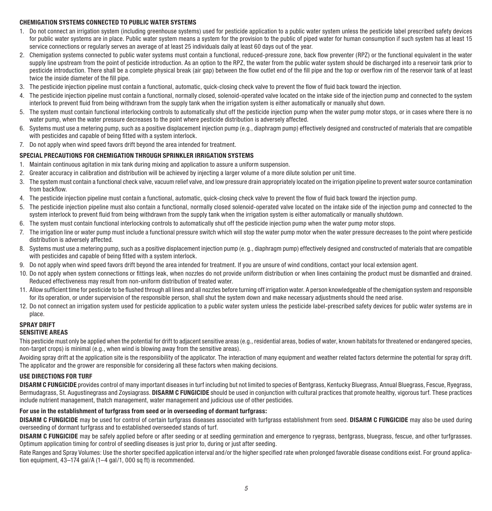#### **CHEMIGATION SYSTEMS CONNECTED TO PUBLIC WATER SYSTEMS**

- 1. Do not connect an irrigation system (including greenhouse systems) used for pesticide application to a public water system unless the pesticide label prescribed safety devices for public water systems are in place. Public water system means a system for the provision to the public of piped water for human consumption if such system has at least 15 service connections or regularly serves an average of at least 25 individuals daily at least 60 days out of the year.
- 2. Chemigation systems connected to public water systems must contain a functional, reduced-pressure zone, back flow preventer (RPZ) or the functional equivalent in the water supply line upstream from the point of pesticide introduction. As an option to the RPZ, the water from the public water system should be discharged into a reservoir tank prior to pesticide introduction. There shall be a complete physical break (air gap) between the flow outlet end of the fill pipe and the top or overflow rim of the reservoir tank of at least twice the inside diameter of the fill pipe.
- 3. The pesticide injection pipeline must contain a functional, automatic, quick-closing check valve to prevent the flow of fluid back toward the injection.
- 4. The pesticide injection pipeline must contain a functional, normally closed, solenoid-operated valve located on the intake side of the injection pump and connected to the system interlock to prevent fluid from being withdrawn from the supply tank when the irrigation system is either automatically or manually shut down.
- 5. The system must contain functional interlocking controls to automatically shut off the pesticide injection pump when the water pump motor stops, or in cases where there is no water pump, when the water pressure decreases to the point where pesticide distribution is adversely affected.
- 6. Systems must use a metering pump, such as a positive displacement injection pump (e.g., diaphragm pump) effectively designed and constructed of materials that are compatible with pesticides and capable of being fitted with a system interlock.
- 7. Do not apply when wind speed favors drift beyond the area intended for treatment.

#### **SPECIAL PRECAUTIONS FOR CHEMIGATION THROUGH SPRINKLER IRRIGATION SYSTEMS**

- 1. Maintain continuous agitation in mix tank during mixing and application to assure a uniform suspension.
- 2. Greater accuracy in calibration and distribution will be achieved by injecting a larger volume of a more dilute solution per unit time.
- 3. The system must contain a functional check valve, vacuum relief valve, and low pressure drain appropriately located on the irrigation pipeline to prevent water source contamination from backflow.
- 4. The pesticide injection pipeline must contain a functional, automatic, quick-closing check valve to prevent the flow of fluid back toward the injection pump.
- 5. The pesticide injection pipeline must also contain a functional, normally closed solenoid-operated valve located on the intake side of the injection pump and connected to the system interlock to prevent fluid from being withdrawn from the supply tank when the irrigation system is either automatically or manually shutdown.
- 6. The system must contain functional interlocking controls to automatically shut off the pesticide injection pump when the water pump motor stops.
- 7. The irrigation line or water pump must include a functional pressure switch which will stop the water pump motor when the water pressure decreases to the point where pesticide distribution is adversely affected.
- 8. Systems must use a metering pump, such as a positive displacement injection pump (e.g., diaphragm pump) effectively designed and constructed of materials that are compatible with pesticides and capable of being fitted with a system interlock.
- 9. Do not apply when wind speed favors drift beyond the area intended for treatment. If you are unsure of wind conditions, contact your local extension agent.
- 10. Do not apply when system connections or fittings leak, when nozzles do not provide uniform distribution or when lines containing the product must be dismantled and drained. Reduced effectiveness may result from non-uniform distribution of treated water.
- 11. Allow sufficient time for pesticide to be flushed through all lines and all nozzles before turning off irrigation water. A person knowledgeable of the chemigation system and responsible for its operation, or under supervision of the responsible person, shall shut the system down and make necessary adjustments should the need arise.
- 12. Do not connect an irrigation system used for pesticide application to a public water system unless the pesticide label-prescribed safety devices for public water systems are in place.

#### **SPRAY DRIFT SENSITIVE AREAS**

This pesticide must only be applied when the potential for drift to adjacent sensitive areas (e.g., residential areas, bodies of water, known habitats for threatened or endangered species, non-target crops) is minimal (e.g., when wind is blowing away from the sensitive areas).

Avoiding spray drift at the application site is the responsibility of the applicator. The interaction of many equipment and weather related factors determine the potential for spray drift. The applicator and the grower are responsible for considering all these factors when making decisions.

#### **USE DIRECTIONS FOR TURF**

DISARM C FUNGICIDE provides control of many important diseases in turf including but not limited to species of Bentgrass, Kentucky Bluegrass, Annual Bluegrass, Fescue, Ryegrass, Bermudagrass, St. Augustinegrass and Zoysiagrass. **DISARM C FUNGICIDE** should be used in conjunction with cultural practices that promote healthy, vigorous turf. These practices include nutrient management, thatch management, water management and judicious use of other pesticides.

#### **For use in the establishment of turfgrass from seed or in overseeding of dormant turfgrass:**

**DISARM C FUNGICIDE** may be used for control of certain turfgrass diseases associated with turfgrass establishment from seed. **DISARM C FUNGICIDE** may also be used during overseeding of dormant turfgrass and to established overseeded stands of turf.

**DISARM C FUNGICIDE** may be safely applied before or after seeding or at seedling germination and emergence to ryegrass, bentgrass, bluegrass, fescue, and other turfgrasses. Optimum application timing for control of seedling diseases is just prior to, during or just after seeding.

Rate Ranges and Spray Volumes: Use the shorter specified application interval and/or the higher specified rate when prolonged favorable disease conditions exist. For ground application equipment, 43–174 gal/A (1–4 gal/1, 000 sq ft) is recommended.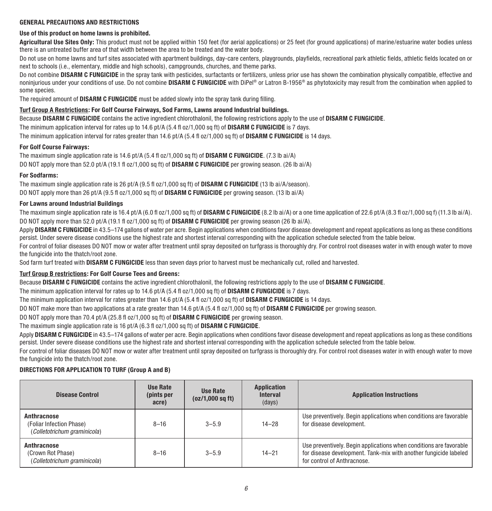#### **GENERAL PRECAUTIONS AND RESTRICTIONS**

#### **Use of this product on home lawns is prohibited.**

**Agricultural Use Sites Only:** This product must not be applied within 150 feet (for aerial applications) or 25 feet (for ground applications) of marine/estuarine water bodies unless there is an untreated buffer area of that width between the area to be treated and the water body.

Do not use on home lawns and turf sites associated with apartment buildings, day-care centers, playgrounds, playfields, recreational park athletic fields, athletic fields located on or next to schools (i.e., elementary, middle and high schools), campgrounds, churches, and theme parks.

Do not combine **DISARM C FUNGICIDE** in the spray tank with pesticides, surfactants or fertilizers, unless prior use has shown the combination physically compatible, effective and noninjurious under your conditions of use. Do not combine **DISARM C FUNGICIDE** with DiPel® or Latron B-1956® as phytotoxicity may result from the combination when applied to some species.

The required amount of **DISARM C FUNGICIDE** must be added slowly into the spray tank during filling.

#### **Turf Group A Restrictions: For Golf Course Fairways, Sod Farms, Lawns around Industrial buildings.**

Because **DISARM C FUNGICIDE** contains the active ingredient chlorothalonil, the following restrictions apply to the use of **DISARM C FUNGICIDE**.

The minimum application interval for rates up to 14.6 pt/A (5.4 fl oz/1,000 sq ft) of **DISARM C FUNGICIDE** is 7 days.

The minimum application interval for rates greater than 14.6 pt/A (5.4 fl oz/1,000 sq ft) of **DISARM C FUNGICIDE** is 14 days.

#### **For Golf Course Fairways:**

The maximum single application rate is 14.6 pt/A (5.4 fl oz/1,000 sq ft) of **DISARM C FUNGICIDE**. (7.3 lb ai/A) DO NOT apply more than 52.0 pt/A (19.1 fl oz/1,000 sq ft) of **DISARM C FUNGICIDE** per growing season. (26 lb ai/A)

#### **For Sodfarms:**

The maximum single application rate is 26 pt/A (9.5 fl oz/1,000 sq ft) of **DISARM C FUNGICIDE** (13 lb ai/A/season). DO NOT apply more than 26 pt/A (9.5 fl oz/1,000 sq ft) of **DISARM C FUNGICIDE** per growing season. (13 lb ai/A)

#### **For Lawns around Industrial Buildings**

The maximum single application rate is 16.4 pt/A (6.0 fl oz/1,000 sq ft) of **DISARM C FUNGICIDE** (8.2 lb ai/A) or a one time application of 22.6 pt/A (8.3 fl oz/1,000 sq f) (11.3 lb ai/A). DO NOT apply more than 52.0 pt/A (19.1 fl oz/1,000 sq ft) of **DISARM C FUNGICIDE** per growing season (26 lb ai/A).

Apply **DISARM C FUNGICIDE** in 43.5–174 gallons of water per acre. Begin applications when conditions favor disease development and repeat applications as long as these conditions persist. Under severe disease conditions use the highest rate and shortest interval corresponding with the application schedule selected from the table below.

For control of foliar diseases DO NOT mow or water after treatment until spray deposited on turfgrass is thoroughly dry. For control root diseases water in with enough water to move the fungicide into the thatch/root zone.

Sod farm turf treated with **DISARM C FUNGICIDE** less than seven days prior to harvest must be mechanically cut, rolled and harvested.

#### **Turf Group B restrictions: For Golf Course Tees and Greens:**

Because **DISARM C FUNGICIDE** contains the active ingredient chlorothalonil, the following restrictions apply to the use of **DISARM C FUNGICIDE**.

The minimum application interval for rates up to 14.6 pt/A (5.4 fl oz/1,000 sq ft) of **DISARM C FUNGICIDE** is 7 days.

The minimum application interval for rates greater than 14.6 pt/A (5.4 fl oz/1,000 sq ft) of **DISARM C FUNGICIDE** is 14 days.

DO NOT make more than two applications at a rate greater than 14.6 pt/A (5.4 fl oz/1,000 sq ft) of **DISARM C FUNGICIDE** per growing season.

DO NOT apply more than 70.4 pt/A (25.8 fl oz/1,000 sq ft) of **DISARM C FUNGICIDE** per growing season.

#### The maximum single application rate is 16 pt/A (6.3 fl oz/1,000 sq ft) of **DISARM C FUNGICIDE**.

Apply **DISARM C FUNGICIDE** in 43.5–174 gallons of water per acre. Begin applications when conditions favor disease development and repeat applications as long as these conditions persist. Under severe disease conditions use the highest rate and shortest interval corresponding with the application schedule selected from the table below.

For control of foliar diseases DO NOT mow or water after treatment until spray deposited on turfgrass is thoroughly dry. For control root diseases water in with enough water to move the fungicide into the thatch/root zone.

#### **DIRECTIONS FOR APPLICATION TO TURF (Group A and B)**

| <b>Disease Control</b>                                                  | Use Rate<br>(pints per<br>acre) | Use Rate<br>(oz/1,000 sq ft) | Application<br><b>Interval</b><br>(days) | <b>Application Instructions</b>                                                                                                                                       |
|-------------------------------------------------------------------------|---------------------------------|------------------------------|------------------------------------------|-----------------------------------------------------------------------------------------------------------------------------------------------------------------------|
| Anthracnose<br>(Foliar Infection Phase)<br>(Colletotrichum araminicola) | $8 - 16$                        | $3 - 5.9$                    | $14 - 28$                                | Use preventively. Begin applications when conditions are favorable<br>for disease development.                                                                        |
| Anthracnose<br>(Crown Rot Phase)<br>(Colletotrichum graminicola)        | $8 - 16$                        | $3 - 5.9$                    | $14 - 21$                                | Use preventively. Begin applications when conditions are favorable<br>for disease development. Tank-mix with another fungicide labeled<br>for control of Anthracnose. |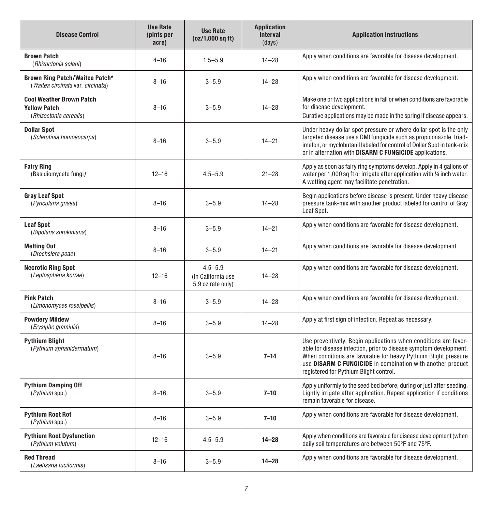| <b>Disease Control</b>                                                           | <b>Use Rate</b><br>(pints per<br>acre) | <b>Use Rate</b><br>(oz/1,000 sq ft)                    | <b>Application</b><br><b>Interval</b><br>(days) | <b>Application Instructions</b>                                                                                                                                                                                                                                                                                 |
|----------------------------------------------------------------------------------|----------------------------------------|--------------------------------------------------------|-------------------------------------------------|-----------------------------------------------------------------------------------------------------------------------------------------------------------------------------------------------------------------------------------------------------------------------------------------------------------------|
| <b>Brown Patch</b><br>(Rhizoctonia solani)                                       | $4 - 16$                               | $1.5 - 5.9$                                            | $14 - 28$                                       | Apply when conditions are favorable for disease development.                                                                                                                                                                                                                                                    |
| Brown Ring Patch/Waitea Patch*<br>(Waitea circinata var. circinata)              | $8 - 16$                               | $3 - 5.9$                                              | $14 - 28$                                       | Apply when conditions are favorable for disease development.                                                                                                                                                                                                                                                    |
| <b>Cool Weather Brown Patch</b><br><b>Yellow Patch</b><br>(Rhizoctonia cerealis) | $8 - 16$                               | $3 - 5.9$                                              | $14 - 28$                                       | Make one or two applications in fall or when conditions are favorable<br>for disease development.<br>Curative applications may be made in the spring if disease appears.                                                                                                                                        |
| <b>Dollar Spot</b><br>(Sclerotinia homoeocarpa)                                  | $8 - 16$                               | $3 - 5.9$                                              | $14 - 21$                                       | Under heavy dollar spot pressure or where dollar spot is the only<br>targeted disease use a DMI fungicide such as propiconazole, triad-<br>imefon, or myclobutanil labeled for control of Dollar Spot in tank-mix<br>or in alternation with DISARM C FUNGICIDE applications.                                    |
| <b>Fairy Ring</b><br>(Basidiomycete fungi)                                       | $12 - 16$                              | $4.5 - 5.9$                                            | $21 - 28$                                       | Apply as soon as fairy ring symptoms develop. Apply in 4 gallons of<br>water per 1,000 sq ft or irrigate after application with 1/4 inch water.<br>A wetting agent may facilitate penetration.                                                                                                                  |
| <b>Gray Leaf Spot</b><br>(Pyricularia grisea)                                    | $8 - 16$                               | $3 - 5.9$                                              | $14 - 28$                                       | Begin applications before disease is present. Under heavy disease<br>pressure tank-mix with another product labeled for control of Gray<br>Leaf Spot.                                                                                                                                                           |
| <b>Leaf Spot</b><br>(Bipolaris sorokiniana)                                      | $8 - 16$                               | $3 - 5.9$                                              | $14 - 21$                                       | Apply when conditions are favorable for disease development.                                                                                                                                                                                                                                                    |
| <b>Melting Out</b><br>(Drechslera poae)                                          | $8 - 16$                               | $3 - 5.9$                                              | $14 - 21$                                       | Apply when conditions are favorable for disease development.                                                                                                                                                                                                                                                    |
| <b>Necrotic Ring Spot</b><br>(Leptospheria korrae)                               | $12 - 16$                              | $4.5 - 5.9$<br>(In California use<br>5.9 oz rate only) | $14 - 28$                                       | Apply when conditions are favorable for disease development.                                                                                                                                                                                                                                                    |
| <b>Pink Patch</b><br>(Limonomyces roseipellis)                                   | $8 - 16$                               | $3 - 5.9$                                              | $14 - 28$                                       | Apply when conditions are favorable for disease development.                                                                                                                                                                                                                                                    |
| <b>Powdery Mildew</b><br>(Erysiphe graminis)                                     | $8 - 16$                               | $3 - 5.9$                                              | $14 - 28$                                       | Apply at first sign of infection. Repeat as necessary.                                                                                                                                                                                                                                                          |
| <b>Pythium Blight</b><br>(Pythium aphanidermatum)                                | $8 - 16$                               | $3 - 5.9$                                              | $7 - 14$                                        | Use preventively. Begin applications when conditions are favor-<br>able for disease infection, prior to disease symptom development.<br>When conditions are favorable for heavy Pythium Blight pressure<br>use DISARM C FUNGICIDE in combination with another product<br>registered for Pythium Blight control. |
| <b>Pythium Damping Off</b><br>(Pythium spp.)                                     | $8 - 16$                               | $3 - 5.9$                                              | $7 - 10$                                        | Apply uniformly to the seed bed before, during or just after seeding.<br>Lightly irrigate after application. Repeat application if conditions<br>remain favorable for disease.                                                                                                                                  |
| <b>Pythium Root Rot</b><br>(Pythium spp.)                                        | $8 - 16$                               | $3 - 5.9$                                              | $7 - 10$                                        | Apply when conditions are favorable for disease development.                                                                                                                                                                                                                                                    |
| <b>Pythium Root Dysfunction</b><br>(Pythium volutum)                             | $12 - 16$                              | $4.5 - 5.9$                                            | $14 - 28$                                       | Apply when conditions are favorable for disease development (when<br>daily soil temperatures are between 50°F and 75°F.                                                                                                                                                                                         |
| <b>Red Thread</b><br>(Laetisaria fuciformis)                                     | $8 - 16$                               | $3 - 5.9$                                              | $14 - 28$                                       | Apply when conditions are favorable for disease development.                                                                                                                                                                                                                                                    |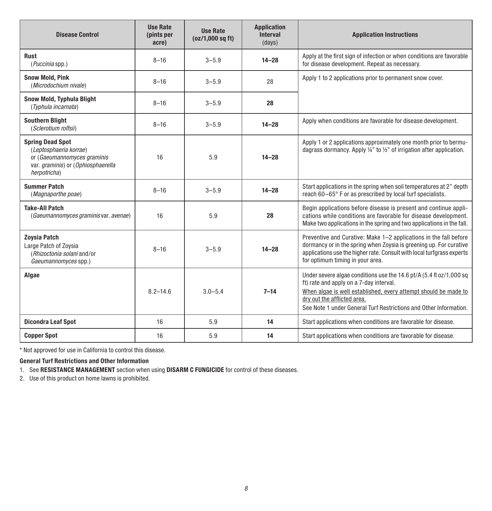| <b>Disease Control</b>                                                                                                                 | <b>Use Rate</b><br>(pints per<br>acre) | <b>Use Rate</b><br>(oz/1,000 sq ft) | <b>Application</b><br><b>Interval</b><br>(days) | <b>Application Instructions</b>                                                                                                                                                                                                                                                       |
|----------------------------------------------------------------------------------------------------------------------------------------|----------------------------------------|-------------------------------------|-------------------------------------------------|---------------------------------------------------------------------------------------------------------------------------------------------------------------------------------------------------------------------------------------------------------------------------------------|
| Rust<br>(Puccinia spp.)                                                                                                                | $8 - 16$                               | $3 - 5.9$                           | $14 - 28$                                       | Apply at the first sign of infection or when conditions are favorable<br>for disease development. Repeat as necessary.                                                                                                                                                                |
| <b>Snow Mold, Pink</b><br>(Microdochium nivale)                                                                                        | $8 - 16$                               | $3 - 5.9$                           | 28                                              | Apply 1 to 2 applications prior to permanent snow cover.                                                                                                                                                                                                                              |
| Snow Mold, Typhula Blight<br>(Typhula incarnata)                                                                                       | $8 - 16$                               | $3 - 5.9$                           | 28                                              |                                                                                                                                                                                                                                                                                       |
| <b>Southern Blight</b><br>(Sclerotium rolfsii)                                                                                         | $8 - 16$                               | $3 - 5.9$                           | $14 - 28$                                       | Apply when conditions are favorable for disease development.                                                                                                                                                                                                                          |
| <b>Spring Dead Spot</b><br>(Leptosphaeria korrae)<br>or (Gaeumannomyces graminis<br>var. graminis) or (Ophiosphaerella<br>herpotricha) | 16                                     | 5.9                                 | $14 - 28$                                       | Apply 1 or 2 applications approximately one month prior to bermu-<br>dagrass dormancy. Apply $\frac{1}{4}$ " to $\frac{1}{2}$ " of irrigation after application.                                                                                                                      |
| <b>Summer Patch</b><br>(Magnaporthe poae)                                                                                              | $8 - 16$                               | $3 - 5.9$                           | $14 - 28$                                       | Start applications in the spring when soil temperatures at 2" depth<br>reach 60-65° F or as prescribed by local turf specialists.                                                                                                                                                     |
| <b>Take-All Patch</b><br>(Gaeumannomyces graminis var. avenae)                                                                         | 16                                     | 5.9                                 | 28                                              | Begin applications before disease is present and continue appli-<br>cations while conditions are favorable for disease development.<br>Make two applications in the spring and two applications in the fall.                                                                          |
| <b>Zovsia Patch</b><br>Large Patch of Zovsia<br>(Rhizoctonia solani and/or<br>Gaeumannomyces spp.)                                     | $8 - 16$                               | $3 - 5.9$                           | $14 - 28$                                       | Preventive and Curative: Make 1-2 applications in the fall before<br>dormancy or in the spring when Zoysia is greening up. For curative<br>applications use the higher rate. Consult with local turfgrass experts<br>for optimum timing in your area.                                 |
| Algae                                                                                                                                  | $8.2 - 14.6$                           | $3.0 - 5.4$                         | $7 - 14$                                        | Under severe algae conditions use the 14.6 pt/A (5.4 fl oz/1,000 sq<br>ft) rate and apply on a 7-day interval.<br>When algae is well established, every attempt should be made to<br>dry out the afflicted area.<br>See Note 1 under General Turf Restrictions and Other Information. |
| <b>Dicondra Leaf Spot</b>                                                                                                              | 16                                     | 5.9                                 | 14                                              | Start applications when conditions are favorable for disease.                                                                                                                                                                                                                         |
| <b>Copper Spot</b>                                                                                                                     | 16                                     | 5.9                                 | 14                                              | Start applications when conditions are favorable for disease.                                                                                                                                                                                                                         |

\* Not approved for use in California to control this disease.

### **General Turf Restrictions and Other Information**

1. See **RESISTANCE MANAGEMENT** section when using **DISARM C FUNGICIDE** for control of these diseases.

2. Use of this product on home lawns is prohibited.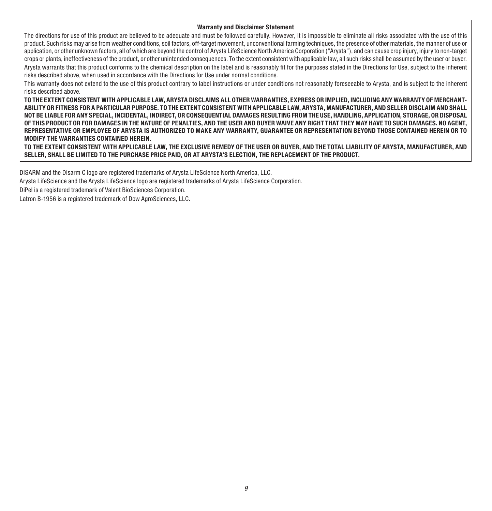#### **Warranty and Disclaimer Statement**

The directions for use of this product are believed to be adequate and must be followed carefully. However, it is impossible to eliminate all risks associated with the use of this product. Such risks may arise from weather conditions, soil factors, off-target movement, unconventional farming techniques, the presence of other materials, the manner of use or application, or other unknown factors, all of which are beyond the control of Arysta LifeScience North America Corporation ("Arysta"), and can cause crop injury, injury to non-target crops or plants, ineffectiveness of the product, or other unintended consequences. To the extent consistent with applicable law, all such risks shall be assumed by the user or buyer. Arysta warrants that this product conforms to the chemical description on the label and is reasonably fit for the purposes stated in the Directions for Use, subject to the inherent risks described above, when used in accordance with the Directions for Use under normal conditions.

This warranty does not extend to the use of this product contrary to label instructions or under conditions not reasonably foreseeable to Arysta, and is subject to the inherent risks described above.

**TO THE EXTENT CONSISTENT WITH APPLICABLE LAW, ARYSTA DISCLAIMS ALL OTHER WARRANTIES, EXPRESS OR IMPLIED, INCLUDING ANY WARRANTY OF MERCHANT-ABILITY OR FITNESS FOR A PARTICULAR PURPOSE. TO THE EXTENT CONSISTENT WITH APPLICABLE LAW, ARYSTA, MANUFACTURER, AND SELLER DISCLAIM AND SHALL NOT BE LIABLE FOR ANY SPECIAL, INCIDENTAL, INDIRECT, OR CONSEQUENTIAL DAMAGES RESULTING FROM THE USE, HANDLING, APPLICATION, STORAGE, OR DISPOSAL OF THIS PRODUCT OR FOR DAMAGES IN THE NATURE OF PENALTIES, AND THE USER AND BUYER WAIVE ANY RIGHT THAT THEY MAY HAVE TO SUCH DAMAGES. NO AGENT, REPRESENTATIVE OR EMPLOYEE OF ARYSTA IS AUTHORIZED TO MAKE ANY WARRANTY, GUARANTEE OR REPRESENTATION BEYOND THOSE CONTAINED HEREIN OR TO MODIFY THE WARRANTIES CONTAINED HEREIN.**

**TO THE EXTENT CONSISTENT WITH APPLICABLE LAW, THE EXCLUSIVE REMEDY OF THE USER OR BUYER, AND THE TOTAL LIABILITY OF ARYSTA, MANUFACTURER, AND SELLER, SHALL BE LIMITED TO THE PURCHASE PRICE PAID, OR AT ARYSTA'S ELECTION, THE REPLACEMENT OF THE PRODUCT.** 

DISARM and the DIsarm C logo are registered trademarks of Arysta LifeScience North America, LLC.

Arysta LifeScience and the Arysta LifeScience logo are registered trademarks of Arysta LifeScience Corporation.

DiPel is a registered trademark of Valent BioSciences Corporation.

Latron B-1956 is a registered trademark of Dow AgroSciences, LLC.